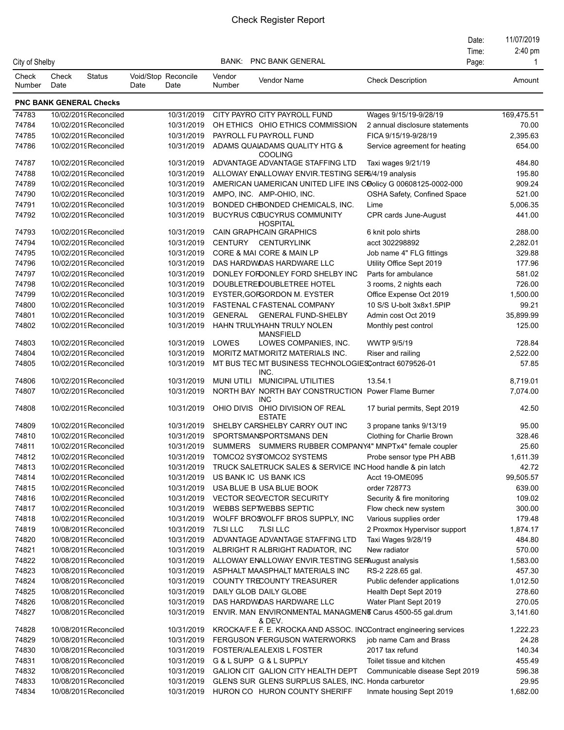|                 |               |                                               |                             |                          |                  |                                                                                       |                                                       | Date: | 11/07/2019         |
|-----------------|---------------|-----------------------------------------------|-----------------------------|--------------------------|------------------|---------------------------------------------------------------------------------------|-------------------------------------------------------|-------|--------------------|
|                 |               |                                               |                             |                          |                  |                                                                                       |                                                       | Time: | $2:40 \text{ pm}$  |
| City of Shelby  |               |                                               |                             |                          | BANK:            | PNC BANK GENERAL                                                                      |                                                       | Page: | -1                 |
| Check<br>Number | Check<br>Date | <b>Status</b>                                 | Void/Stop Reconcile<br>Date | Date                     | Vendor<br>Number | Vendor Name                                                                           | <b>Check Description</b>                              |       | Amount             |
|                 |               | <b>PNC BANK GENERAL Checks</b>                |                             |                          |                  |                                                                                       |                                                       |       |                    |
| 74783           |               | 10/02/2019 Reconciled                         |                             | 10/31/2019               |                  | CITY PAYRO CITY PAYROLL FUND                                                          | Wages 9/15/19-9/28/19                                 |       | 169,475.51         |
| 74784           |               | 10/02/2019 Reconciled                         |                             | 10/31/2019               |                  | OH ETHICS OHIO ETHICS COMMISSION                                                      | 2 annual disclosure statements                        |       | 70.00              |
| 74785           |               | 10/02/2019 Reconciled                         |                             | 10/31/2019               |                  | PAYROLL FU PAYROLL FUND                                                               | FICA 9/15/19-9/28/19                                  |       | 2,395.63           |
| 74786           |               | 10/02/2019 Reconciled                         |                             | 10/31/2019               |                  | ADAMS QUALADAMS QUALITY HTG &<br><b>COOLING</b>                                       | Service agreement for heating                         |       | 654.00             |
| 74787           |               | 10/02/2019 Reconciled                         |                             | 10/31/2019               |                  | ADVANTAGE ADVANTAGE STAFFING LTD                                                      | Taxi wages 9/21/19                                    |       | 484.80             |
| 74788           |               | 10/02/2019 Reconciled                         |                             | 10/31/2019               |                  | ALLOWAY ENALLOWAY ENVIR. TESTING SER6/4/19 analysis                                   |                                                       |       | 195.80             |
| 74789           |               | 10/02/2019 Reconciled                         |                             | 10/31/2019               |                  | AMERICAN UAMERICAN UNITED LIFE INS COolicy G 00608125-0002-000                        |                                                       |       | 909.24             |
| 74790           |               | 10/02/2019 Reconciled                         |                             | 10/31/2019               |                  | AMPO, INC. AMP-OHIO, INC.                                                             | OSHA Safety, Confined Space                           |       | 521.00             |
| 74791           |               | 10/02/2019Reconciled                          |                             | 10/31/2019               |                  | BONDED CHIBONDED CHEMICALS, INC.                                                      | Lime                                                  |       | 5,006.35           |
| 74792           |               | 10/02/2019Reconciled                          |                             | 10/31/2019               |                  | <b>BUCYRUS COUCYRUS COMMUNITY</b><br><b>HOSPITAL</b>                                  | CPR cards June-August                                 |       | 441.00             |
| 74793           |               | 10/02/2019 Reconciled                         |                             | 10/31/2019               |                  | <b>CAIN GRAPHCAIN GRAPHICS</b>                                                        | 6 knit polo shirts                                    |       | 288.00             |
| 74794           |               | 10/02/2019 Reconciled                         |                             | 10/31/2019               |                  | CENTURY CENTURYLINK                                                                   | acct 302298892                                        |       | 2,282.01           |
| 74795           |               | 10/02/2019 Reconciled                         |                             | 10/31/2019               |                  | CORE & MAI CORE & MAIN LP                                                             | Job name 4" FLG fittings                              |       | 329.88             |
| 74796           |               | 10/02/2019 Reconciled                         |                             | 10/31/2019               |                  | DAS HARDWOAS HARDWARE LLC                                                             | Utility Office Sept 2019                              |       | 177.96             |
| 74797           |               | 10/02/2019 Reconciled                         |                             | 10/31/2019               |                  | DONLEY FORDONLEY FORD SHELBY INC                                                      | Parts for ambulance                                   |       | 581.02             |
| 74798           |               | 10/02/2019 Reconciled                         |                             | 10/31/2019               |                  | DOUBLETREDOUBLETREE HOTEL                                                             | 3 rooms, 2 nights each                                |       | 726.00             |
| 74799           |               | 10/02/2019 Reconciled                         |                             | 10/31/2019               |                  | EYSTER, GORGORDON M. EYSTER                                                           | Office Expense Oct 2019                               |       | 1,500.00           |
| 74800           |               | 10/02/2019 Reconciled                         |                             | 10/31/2019               |                  | FASTENAL C FASTENAL COMPANY                                                           | 10 S/S U-bolt 3x8x1.5PIP                              |       | 99.21              |
| 74801           |               | 10/02/2019 Reconciled                         |                             | 10/31/2019               |                  | GENERAL GENERAL FUND-SHELBY                                                           | Admin cost Oct 2019                                   |       | 35,899.99          |
| 74802           |               | 10/02/2019Reconciled                          |                             | 10/31/2019               |                  | HAHN TRULYHAHN TRULY NOLEN<br><b>MANSFIELD</b>                                        | Monthly pest control                                  |       | 125.00             |
| 74803           |               | 10/02/2019 Reconciled                         |                             | 10/31/2019               | LOWES            | LOWES COMPANIES, INC.                                                                 | <b>WWTP 9/5/19</b>                                    |       | 728.84             |
| 74804           |               | 10/02/2019Reconciled                          |                             | 10/31/2019               |                  | MORITZ MATMORITZ MATERIALS INC.                                                       | Riser and railing                                     |       | 2,522.00           |
| 74805           |               | 10/02/2019 Reconciled                         |                             | 10/31/2019               |                  | MT BUS TEC MT BUSINESS TECHNOLOGIES Contract 6079526-01<br>INC.                       |                                                       |       | 57.85              |
| 74806           |               | 10/02/2019Reconciled                          |                             | 10/31/2019               |                  | MUNI UTILI MUNICIPAL UTILITIES                                                        | 13.54.1                                               |       | 8,719.01           |
| 74807           |               | 10/02/2019 Reconciled                         |                             | 10/31/2019               |                  | NORTH BAY NORTH BAY CONSTRUCTION Power Flame Burner<br><b>INC</b>                     |                                                       |       | 7,074.00           |
| 74808           |               | 10/02/2019 Reconciled                         |                             | 10/31/2019               |                  | OHIO DIVIS OHIO DIVISION OF REAL<br><b>ESTATE</b><br>SHELBY CARSHELBY CARRY OUT INC   | 17 burial permits, Sept 2019                          |       | 42.50              |
| 74809           |               | 10/02/2019 Reconciled<br>10/02/2019Reconciled |                             | 10/31/2019               |                  |                                                                                       | 3 propane tanks 9/13/19<br>Clothing for Charlie Brown |       | 95.00              |
| 74810           |               |                                               |                             | 10/31/2019               |                  | SPORTSMANSPORTSMANS DEN                                                               |                                                       |       | 328.46             |
| 74811           |               | 10/02/2019Reconciled                          |                             | 10/31/2019               |                  | SUMMERS SUMMERS RUBBER COMPANY4" MNPTx4" female coupler                               |                                                       |       | 25.60              |
| 74812           |               | 10/02/2019Reconciled                          |                             | 10/31/2019               |                  | TOMCO2 SYSTOMCO2 SYSTEMS                                                              | Probe sensor type PH ABB                              |       | 1,611.39           |
| 74813<br>74814  |               | 10/02/2019Reconciled<br>10/02/2019 Reconciled |                             | 10/31/2019<br>10/31/2019 |                  | TRUCK SALETRUCK SALES & SERVICE INC Hood handle & pin latch<br>US BANK IC US BANK ICS | Acct 19-OME095                                        |       | 42.72<br>99,505.57 |
| 74815           |               | 10/02/2019 Reconciled                         |                             | 10/31/2019               |                  | USA BLUE B USA BLUE BOOK                                                              | order 728773                                          |       | 639.00             |
| 74816           |               | 10/02/2019 Reconciled                         |                             | 10/31/2019               |                  | <b>VECTOR SECVECTOR SECURITY</b>                                                      | Security & fire monitoring                            |       | 109.02             |
| 74817           |               | 10/02/2019 Reconciled                         |                             | 10/31/2019               |                  | WEBBS SEPTWEBBS SEPTIC                                                                | Flow check new system                                 |       | 300.00             |
| 74818           |               | 10/02/2019Reconciled                          |                             | 10/31/2019               |                  | WOLFF BROSVOLFF BROS SUPPLY, INC                                                      | Various supplies order                                |       | 179.48             |
| 74819           |               | 10/08/2019Reconciled                          |                             | 10/31/2019               | <b>7LSI LLC</b>  | <b>7LSI LLC</b>                                                                       | 2 Proxmox Hypervisor support                          |       | 1,874.17           |
| 74820           |               | 10/08/2019Reconciled                          |                             | 10/31/2019               |                  | ADVANTAGE ADVANTAGE STAFFING LTD                                                      | Taxi Wages 9/28/19                                    |       | 484.80             |
| 74821           |               | 10/08/2019Reconciled                          |                             | 10/31/2019               |                  | ALBRIGHT R ALBRIGHT RADIATOR, INC                                                     | New radiator                                          |       | 570.00             |
| 74822           |               | 10/08/2019Reconciled                          |                             | 10/31/2019               |                  | ALLOWAY ENALLOWAY ENVIR. TESTING SERAugust analysis                                   |                                                       |       | 1,583.00           |
| 74823           |               | 10/08/2019Reconciled                          |                             | 10/31/2019               |                  | ASPHALT MAASPHALT MATERIALS INC                                                       | RS-2 228.65 gal.                                      |       | 457.30             |
| 74824           |               | 10/08/2019Reconciled                          |                             | 10/31/2019               |                  | COUNTY TRECOUNTY TREASURER                                                            | Public defender applications                          |       | 1,012.50           |
| 74825           |               | 10/08/2019Reconciled                          |                             | 10/31/2019               |                  | DAILY GLOB DAILY GLOBE                                                                | Health Dept Sept 2019                                 |       | 278.60             |
| 74826           |               | 10/08/2019Reconciled                          |                             | 10/31/2019               |                  | DAS HARDWOAS HARDWARE LLC                                                             | Water Plant Sept 2019                                 |       | 270.05             |
| 74827           |               | 10/08/2019Reconciled                          |                             | 10/31/2019               |                  | ENVIR. MAN ENVIRONMENTAL MANAGMENT Carus 4500-55 gal.drum<br>& DEV.                   |                                                       |       | 3,141.60           |
| 74828           |               | 10/08/2019Reconciled                          |                             | 10/31/2019               |                  | KROCKA/F.E F. E. KROCKA AND ASSOC. INCContract engineering services                   |                                                       |       | 1,222.23           |
| 74829           |               | 10/08/2019 Reconciled                         |                             | 10/31/2019               |                  | <b>FERGUSON VFERGUSON WATERWORKS</b>                                                  | job name Cam and Brass                                |       | 24.28              |
| 74830           |               | 10/08/2019Reconciled                          |                             | 10/31/2019               |                  | FOSTER/ALEALEXIS L FOSTER                                                             | 2017 tax refund                                       |       | 140.34             |
| 74831           |               | 10/08/2019Reconciled                          |                             | 10/31/2019               |                  | G&LSUPP G&LSUPPLY                                                                     | Toilet tissue and kitchen                             |       | 455.49             |
| 74832           |               | 10/08/2019Reconciled                          |                             | 10/31/2019               |                  | GALION CIT GALION CITY HEALTH DEPT                                                    | Communicable disease Sept 2019                        |       | 596.38             |
| 74833           |               | 10/08/2019Reconciled                          |                             | 10/31/2019               |                  | GLENS SUR GLENS SURPLUS SALES, INC. Honda carburetor                                  |                                                       |       | 29.95              |
| 74834           |               | 10/08/2019Reconciled                          |                             | 10/31/2019               |                  | HURON CO HURON COUNTY SHERIFF                                                         | Inmate housing Sept 2019                              |       | 1,682.00           |
|                 |               |                                               |                             |                          |                  |                                                                                       |                                                       |       |                    |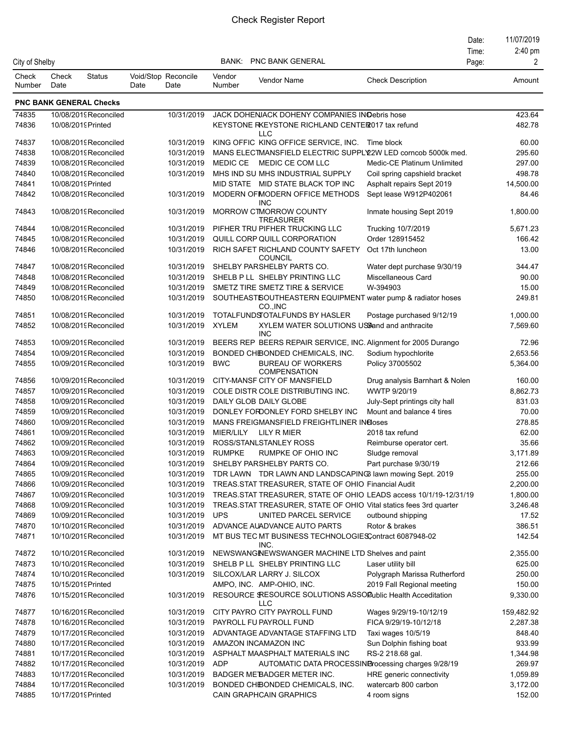|                 |               |                                              |      |                             |                  |                                                                                             |                                     | Date: | 11/07/2019        |
|-----------------|---------------|----------------------------------------------|------|-----------------------------|------------------|---------------------------------------------------------------------------------------------|-------------------------------------|-------|-------------------|
|                 |               |                                              |      |                             |                  |                                                                                             |                                     | Time: | 2:40 pm           |
| City of Shelby  |               |                                              |      |                             | BANK:            | <b>PNC BANK GENERAL</b>                                                                     |                                     | Page: | 2                 |
| Check<br>Number | Check<br>Date | <b>Status</b>                                | Date | Void/Stop Reconcile<br>Date | Vendor<br>Number | Vendor Name                                                                                 | <b>Check Description</b>            |       | Amount            |
|                 |               | <b>PNC BANK GENERAL Checks</b>               |      |                             |                  |                                                                                             |                                     |       |                   |
| 74835           |               | 10/08/2019Reconciled                         |      | 10/31/2019                  |                  | JACK DOHENJACK DOHENY COMPANIES IN Oebris hose                                              |                                     |       | 423.64            |
| 74836           |               | 10/08/2019 Printed                           |      |                             |                  | KEYSTONE RKEYSTONE RICHLAND CENTER017 tax refund                                            |                                     |       | 482.78            |
|                 |               |                                              |      |                             |                  | <b>LLC</b>                                                                                  |                                     |       |                   |
| 74837           |               | 10/08/2019Reconciled                         |      | 10/31/2019                  |                  | KING OFFIC KING OFFICE SERVICE, INC. Time block                                             |                                     |       | 60.00             |
| 74838           |               | 10/08/2019Reconciled                         |      | 10/31/2019                  |                  | MANS ELECTMANSFIELD ELECTRIC SUPPLY2W LED corncob 5000k med.                                |                                     |       | 295.60            |
| 74839           |               | 10/08/2019Reconciled                         |      | 10/31/2019                  |                  | MEDIC CE MEDIC CE COM LLC                                                                   | Medic-CE Platinum Unlimited         |       | 297.00            |
| 74840           |               | 10/08/2019Reconciled                         |      | 10/31/2019                  |                  | MHS IND SU MHS INDUSTRIAL SUPPLY                                                            | Coil spring capshield bracket       |       | 498.78            |
| 74841           |               | 10/08/2019 Printed                           |      |                             |                  | MID STATE MID STATE BLACK TOP INC                                                           | Asphalt repairs Sept 2019           |       | 14,500.00         |
| 74842           |               | 10/08/2019Reconciled                         |      | 10/31/2019                  |                  | MODERN OF MODERN OF FICE METHODS<br><b>INC</b>                                              | Sept lease W912P402061              |       | 84.46             |
| 74843           |               | 10/08/2019Reconciled                         |      | 10/31/2019                  |                  | MORROW CTMORROW COUNTY<br><b>TREASURER</b>                                                  | Inmate housing Sept 2019            |       | 1,800.00          |
| 74844           |               | 10/08/2019Reconciled                         |      | 10/31/2019                  |                  | PIFHER TRU PIFHER TRUCKING LLC                                                              | Trucking 10/7/2019                  |       | 5,671.23          |
| 74845           |               | 10/08/2019Reconciled                         |      | 10/31/2019                  |                  | QUILL CORP QUILL CORPORATION                                                                | Order 128915452                     |       | 166.42            |
| 74846           |               | 10/08/2019Reconciled                         |      | 10/31/2019                  |                  | RICH SAFET RICHLAND COUNTY SAFETY<br><b>COUNCIL</b>                                         | Oct 17th luncheon                   |       | 13.00             |
| 74847           |               | 10/08/2019Reconciled                         |      | 10/31/2019                  |                  | SHELBY PARSHELBY PARTS CO.                                                                  | Water dept purchase 9/30/19         |       | 344.47            |
| 74848           |               | 10/08/2019Reconciled                         |      | 10/31/2019                  |                  | SHELB PLL SHELBY PRINTING LLC                                                               | Miscellaneous Card                  |       | 90.00             |
| 74849           |               | 10/08/2019Reconciled                         |      | 10/31/2019                  |                  | SMETZ TIRE SMETZ TIRE & SERVICE                                                             | W-394903                            |       | 15.00             |
| 74850           |               | 10/08/2019Reconciled                         |      | 10/31/2019                  |                  | SOUTHEASTSOUTHEASTERN EQUIPMENT water pump & radiator hoses<br>CO., INC                     |                                     |       | 249.81            |
| 74851           |               | 10/08/2019Reconciled                         |      | 10/31/2019                  |                  | TOTALFUNDS OTALFUNDS BY HASLER                                                              | Postage purchased 9/12/19           |       | 1,000.00          |
| 74852           |               | 10/08/2019Reconciled                         |      | 10/31/2019                  | <b>XYLEM</b>     | XYLEM WATER SOLUTIONS USSand and anthracite<br><b>INC</b>                                   |                                     |       | 7,569.60          |
| 74853           |               | 10/09/2019Reconciled                         |      | 10/31/2019                  |                  | BEERS REP BEERS REPAIR SERVICE, INC. Alignment for 2005 Durango                             |                                     |       | 72.96             |
| 74854           |               | 10/09/2019Reconciled                         |      | 10/31/2019                  |                  | BONDED CHIBONDED CHEMICALS, INC.                                                            | Sodium hypochlorite                 |       | 2,653.56          |
| 74855           |               | 10/09/2019Reconciled                         |      | 10/31/2019                  | <b>BWC</b>       | <b>BUREAU OF WORKERS</b><br><b>COMPENSATION</b>                                             | Policy 37005502                     |       | 5,364.00          |
| 74856           |               | 10/09/2019 Reconciled                        |      | 10/31/2019                  |                  | CITY-MANSF CITY OF MANSFIELD                                                                | Drug analysis Barnhart & Nolen      |       | 160.00            |
| 74857           |               | 10/09/2019Reconciled                         |      | 10/31/2019                  |                  | COLE DISTR COLE DISTRIBUTING INC.                                                           | WWTP 9/20/19                        |       | 8,862.73          |
| 74858           |               | 10/09/2019 Reconciled                        |      | 10/31/2019                  |                  | DAILY GLOB DAILY GLOBE                                                                      | July-Sept printings city hall       |       | 831.03            |
| 74859           |               | 10/09/2019Reconciled                         |      | 10/31/2019                  |                  | DONLEY FORDONLEY FORD SHELBY INC                                                            | Mount and balance 4 tires           |       | 70.00             |
| 74860           |               | 10/09/2019Reconciled                         |      | 10/31/2019                  |                  | MANS FREIGMANSFIELD FREIGHTLINER INCloses                                                   |                                     |       | 278.85            |
| 74861           |               | 10/09/2019Reconciled                         |      | 10/31/2019                  |                  | MIER/LILY LILY R MIER                                                                       | 2018 tax refund                     |       | 62.00             |
| 74862           |               | 10/09/2019 Reconciled                        |      | 10/31/2019                  |                  | ROSS/STANLSTANLEY ROSS                                                                      | Reimburse operator cert.            |       | 35.66             |
| 74863           |               | 10/09/2019Reconciled                         |      | 10/31/2019                  | <b>RUMPKE</b>    | RUMPKE OF OHIO INC                                                                          | Sludge removal                      |       | 3,171.89          |
| 74864           |               | 10/09/2019Reconciled                         |      | 10/31/2019                  |                  | SHELBY PARSHELBY PARTS CO.                                                                  | Part purchase 9/30/19               |       | 212.66            |
| 74865           |               | 10/09/2019Reconciled                         |      | 10/31/2019                  |                  | TDR LAWN TDR LAWN AND LANDSCAPING lawn mowing Sept. 2019                                    |                                     |       | 255.00            |
| 74866           |               | 10/09/2019Reconciled                         |      | 10/31/2019                  |                  | TREAS STAT TREASURER, STATE OF OHIO Financial Audit                                         |                                     |       | 2,200.00          |
| 74867           |               | 10/09/2019Reconciled                         |      | 10/31/2019                  |                  | TREAS.STAT TREASURER, STATE OF OHIO LEADS access 10/1/19-12/31/19                           |                                     |       | 1,800.00          |
| 74868<br>74869  |               | 10/09/2019Reconciled<br>10/09/2019Reconciled |      | 10/31/2019<br>10/31/2019    | <b>UPS</b>       | TREAS.STAT TREASURER, STATE OF OHIO Vital statics fees 3rd quarter<br>UNITED PARCEL SERVICE |                                     |       | 3,246.48<br>17.52 |
| 74870           |               | 10/10/2019Reconciled                         |      | 10/31/2019                  |                  | ADVANCE AUADVANCE AUTO PARTS                                                                | outbound shipping<br>Rotor & brakes |       | 386.51            |
| 74871           |               | 10/10/2019Reconciled                         |      | 10/31/2019                  |                  | MT BUS TEC MT BUSINESS TECHNOLOGIESContract 6087948-02                                      |                                     |       | 142.54            |
| 74872           |               | 10/10/2019Reconciled                         |      | 10/31/2019                  |                  | INC.<br>NEWSWANGINEWSWANGER MACHINE LTD Shelves and paint                                   |                                     |       | 2,355.00          |
| 74873           |               | 10/10/2019Reconciled                         |      | 10/31/2019                  |                  | SHELB P LL SHELBY PRINTING LLC                                                              | Laser utility bill                  |       | 625.00            |
| 74874           |               | 10/10/2019Reconciled                         |      | 10/31/2019                  |                  | SILCOX/LAR LARRY J. SILCOX                                                                  | Polygraph Marissa Rutherford        |       | 250.00            |
| 74875           |               | 10/15/2019 Printed                           |      |                             |                  | AMPO, INC. AMP-OHIO, INC.                                                                   | 2019 Fall Regional meeting          |       | 150.00            |
| 74876           |               | 10/15/2019 Reconciled                        |      | 10/31/2019                  |                  | RESOURCE SRESOURCE SOLUTIONS ASSOPublic Health Acceditation<br><b>LLC</b>                   |                                     |       | 9,330.00          |
| 74877           |               | 10/16/2019Reconciled                         |      | 10/31/2019                  |                  | CITY PAYRO CITY PAYROLL FUND                                                                | Wages 9/29/19-10/12/19              |       | 159,482.92        |
| 74878           |               | 10/16/2019Reconciled                         |      | 10/31/2019                  |                  | PAYROLL FU PAYROLL FUND                                                                     | FICA 9/29/19-10/12/18               |       | 2,287.38          |
| 74879           |               | 10/17/2019Reconciled                         |      | 10/31/2019                  |                  | ADVANTAGE ADVANTAGE STAFFING LTD                                                            | Taxi wages 10/5/19                  |       | 848.40            |
| 74880           |               | 10/17/2019Reconciled                         |      | 10/31/2019                  |                  | AMAZON INCAMAZON INC                                                                        | Sun Dolphin fishing boat            |       | 933.99            |
| 74881           |               | 10/17/2019Reconciled                         |      | 10/31/2019                  |                  | ASPHALT MAASPHALT MATERIALS INC                                                             | RS-2 218.68 gal.                    |       | 1,344.98          |
| 74882           |               | 10/17/2019Reconciled                         |      | 10/31/2019                  | <b>ADP</b>       | AUTOMATIC DATA PROCESSINBrocessing charges 9/28/19                                          |                                     |       | 269.97            |
| 74883           |               | 10/17/2019Reconciled                         |      | 10/31/2019                  |                  | BADGER ME BADGER METER INC.                                                                 | HRE generic connectivity            |       | 1,059.89          |
| 74884           |               | 10/17/2019Reconciled                         |      | 10/31/2019                  |                  | BONDED CHIBONDED CHEMICALS, INC.                                                            | watercarb 800 carbon                |       | 3,172.00          |
| 74885           |               | 10/17/2019 Printed                           |      |                             |                  | CAIN GRAPHCAIN GRAPHICS                                                                     | 4 room signs                        |       | 152.00            |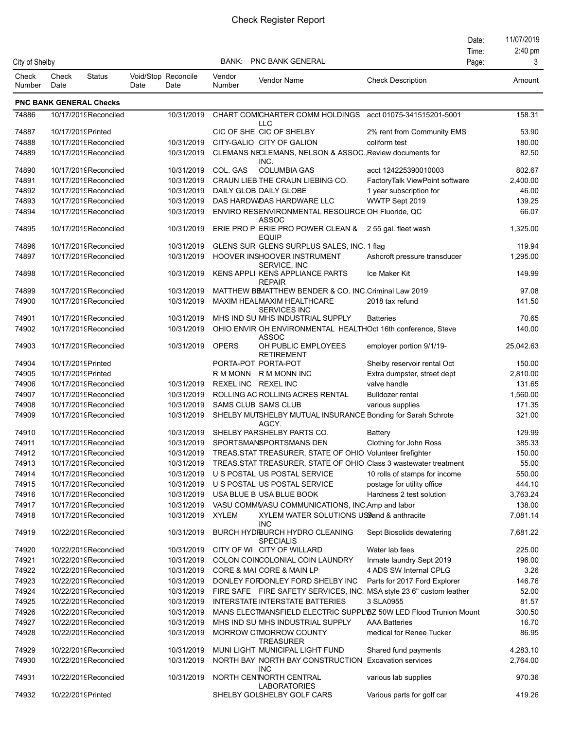|                        |               |                                |      |                             |                     |                                                                        |                                | Date: | 11/07/2019 |
|------------------------|---------------|--------------------------------|------|-----------------------------|---------------------|------------------------------------------------------------------------|--------------------------------|-------|------------|
|                        |               |                                |      |                             |                     |                                                                        |                                | Time: | 2:40 pm    |
| City of Shelby         |               |                                |      |                             |                     | <b>BANK: PNC BANK GENERAL</b>                                          |                                | Page: | 3          |
| Check<br><b>Number</b> | Check<br>Date | Status                         | Date | Void/Stop Reconcile<br>Date | Vendor<br>Number    | Vendor Name                                                            | <b>Check Description</b>       |       | Amount     |
|                        |               | <b>PNC BANK GENERAL Checks</b> |      |                             |                     |                                                                        |                                |       |            |
| 74886                  |               | 10/17/2019Reconciled           |      | 10/31/2019                  |                     | CHART COMICHARTER COMM HOLDINGS                                        | acct 01075-341515201-5001      |       | 158.31     |
|                        |               |                                |      |                             |                     | <b>LLC</b>                                                             |                                |       |            |
| 74887                  |               | 10/17/2019 Printed             |      |                             |                     | CIC OF SHE CIC OF SHELBY                                               | 2% rent from Community EMS     |       | 53.90      |
| 74888                  |               | 10/17/2019 Reconciled          |      | 10/31/2019                  |                     | CITY-GALIO CITY OF GALION                                              | coliform test                  |       | 180.00     |
| 74889                  |               | 10/17/2019Reconciled           |      | 10/31/2019                  |                     | CLEMANS NECLEMANS, NELSON & ASSOC. Review documents for<br>INC.        |                                |       | 82.50      |
| 74890                  |               | 10/17/2019 Reconciled          |      | 10/31/2019                  | COL. GAS            | <b>COLUMBIA GAS</b>                                                    | acct 124225390010003           |       | 802.67     |
| 74891                  |               | 10/17/2019 Reconciled          |      | 10/31/2019                  |                     | CRAUN LIEB THE CRAUN LIEBING CO.                                       | FactoryTalk ViewPoint software |       | 2,400.00   |
| 74892                  |               | 10/17/2019Reconciled           |      | 10/31/2019                  |                     | DAILY GLOB DAILY GLOBE                                                 | 1 year subscription for        |       | 46.00      |
| 74893                  |               | 10/17/2019 Reconciled          |      | 10/31/2019                  |                     | DAS HARDWOAS HARDWARE LLC                                              | WWTP Sept 2019                 |       | 139.25     |
| 74894                  |               | 10/17/2019Reconciled           |      | 10/31/2019                  |                     | ENVIRO RESENVIRONMENTAL RESOURCE OH Fluoride, QC<br>ASSOC              |                                |       | 66.07      |
| 74895                  |               | 10/17/2019Reconciled           |      | 10/31/2019                  |                     | ERIE PRO P ERIE PRO POWER CLEAN & 2 55 gal. fleet wash<br><b>EQUIP</b> |                                |       | 1,325.00   |
| 74896                  |               | 10/17/2019 Reconciled          |      | 10/31/2019                  |                     | GLENS SUR GLENS SURPLUS SALES, INC. 1 flag                             |                                |       | 119.94     |
| 74897                  |               | 10/17/2019 Reconciled          |      | 10/31/2019                  |                     | HOOVER INSHOOVER INSTRUMENT<br>SERVICE, INC                            | Ashcroft pressure transducer   |       | 1,295.00   |
| 74898                  |               | 10/17/2019Reconciled           |      | 10/31/2019                  |                     | KENS APPLI KENS APPLIANCE PARTS<br><b>REPAIR</b>                       | Ice Maker Kit                  |       | 149.99     |
| 74899                  |               | 10/17/2019Reconciled           |      | 10/31/2019                  |                     | MATTHEW BEMATTHEW BENDER & CO. INC. Criminal Law 2019                  |                                |       | 97.08      |
| 74900                  |               | 10/17/2019Reconciled           |      | 10/31/2019                  |                     | MAXIM HEALMAXIM HEALTHCARE                                             | 2018 tax refund                |       | 141.50     |
|                        |               |                                |      |                             |                     | <b>SERVICES INC</b>                                                    |                                |       |            |
| 74901                  |               | 10/17/2019Reconciled           |      | 10/31/2019                  |                     | MHS IND SU MHS INDUSTRIAL SUPPLY                                       | <b>Batteries</b>               |       | 70.65      |
| 74902                  |               | 10/17/2019 Reconciled          |      | 10/31/2019                  |                     | OHIO ENVIR OH ENVIRONMENTAL HEALTHOct 16th conference, Steve<br>ASSOC  |                                |       | 140.00     |
| 74903                  |               | 10/17/2019Reconciled           |      | 10/31/2019                  | <b>OPERS</b>        | OH PUBLIC EMPLOYEES<br><b>RETIREMENT</b>                               | employer portion 9/1/19-       |       | 25,042.63  |
| 74904                  |               | 10/17/2019 Printed             |      |                             |                     | PORTA-POT PORTA-POT                                                    | Shelby reservoir rental Oct    |       | 150.00     |
| 74905                  |               | 10/17/2019 Printed             |      |                             |                     | RM MONN RM MONN INC                                                    | Extra dumpster, street dept    |       | 2,810.00   |
| 74906                  |               | 10/17/2019Reconciled           |      | 10/31/2019                  | REXEL INC REXEL INC |                                                                        | valve handle                   |       | 131.65     |
| 74907                  |               | 10/17/2019Reconciled           |      | 10/31/2019                  |                     | ROLLING AC ROLLING ACRES RENTAL                                        | <b>Bulldozer rental</b>        |       | 1,560.00   |
| 74908                  |               | 10/17/2019Reconciled           |      | 10/31/2019                  |                     | SAMS CLUB SAMS CLUB                                                    | various supplies               |       | 171.35     |
| 74909                  |               | 10/17/2019Reconciled           |      | 10/31/2019                  |                     | SHELBY MUTSHELBY MUTUAL INSURANCE Bonding for Sarah Schrote<br>AGCY.   |                                |       | 321.00     |
| 74910                  |               | 10/17/2019Reconciled           |      | 10/31/2019                  |                     | SHELBY PARSHELBY PARTS CO.                                             | <b>Battery</b>                 |       | 129.99     |
| 74911                  |               | 10/17/2019Reconciled           |      | 10/31/2019                  |                     | SPORTSMANSPORTSMANS DEN                                                | Clothing for John Ross         |       | 385.33     |
| 74912                  |               | 10/17/2019Reconciled           |      | 10/31/2019                  |                     | TREAS.STAT TREASURER, STATE OF OHIO Volunteer firefighter              |                                |       | 150.00     |
| 74913                  |               | 10/17/2019 Reconciled          |      | 10/31/2019                  |                     | TREAS STAT TREASURER, STATE OF OHIO Class 3 wastewater treatment       |                                |       | 55.00      |
| 74914                  |               | 10/17/2019 Reconciled          |      | 10/31/2019                  |                     | U S POSTAL US POSTAL SERVICE                                           | 10 rolls of stamps for income  |       | 550.00     |
| 74915                  |               | 10/17/2019 Reconciled          |      | 10/31/2019                  |                     | U S POSTAL US POSTAL SERVICE                                           | postage for utility office     |       | 444.10     |
| 74916                  |               | 10/17/2019 Reconciled          |      | 10/31/2019                  |                     | USA BLUE B USA BLUE BOOK                                               | Hardness 2 test solution       |       | 3,763.24   |
| 74917                  |               | 10/17/2019 Reconciled          |      | 10/31/2019                  |                     | VASU COMMUASU COMMUNICATIONS, INC.Amp and labor                        |                                |       | 138.00     |
| 74918                  |               | 10/17/2019Reconciled           |      | 10/31/2019                  | <b>XYLEM</b>        | XYLEM WATER SOLUTIONS USSand & anthracite<br><b>INC</b>                |                                |       | 7,081.14   |
| 74919                  |               | 10/22/2019 Reconciled          |      | 10/31/2019                  |                     | BURCH HYDIBURCH HYDRO CLEANING<br><b>SPECIALIS</b>                     | Sept Biosolids dewatering      |       | 7,681.22   |
| 74920                  |               | 10/22/2019 Reconciled          |      | 10/31/2019                  |                     | CITY OF WI CITY OF WILLARD                                             | Water lab fees                 |       | 225.00     |
| 74921                  |               | 10/22/2019 Reconciled          |      | 10/31/2019                  |                     | COLON COINCOLONIAL COIN LAUNDRY                                        | Inmate laundry Sept 2019       |       | 196.00     |
| 74922                  |               | 10/22/2019 Reconciled          |      | 10/31/2019                  |                     | CORE & MAI CORE & MAIN LP                                              | 4 ADS SW Internal CPLG         |       | 3.26       |
| 74923                  |               | 10/22/2019 Reconciled          |      | 10/31/2019                  |                     | DONLEY FORDONLEY FORD SHELBY INC                                       | Parts for 2017 Ford Explorer   |       | 146.76     |
| 74924                  |               | 10/22/2019Reconciled           |      | 10/31/2019                  |                     | FIRE SAFE FIRE SAFETY SERVICES, INC. MSA style 23 6" custom leather    |                                |       | 52.00      |
| 74925                  |               | 10/22/2019Reconciled           |      | 10/31/2019                  |                     | INTERSTATE INTERSTATE BATTERIES                                        | 3 SLA0955                      |       | 81.57      |
| 74926                  |               | 10/22/2019Reconciled           |      | 10/31/2019                  |                     | MANS ELECTMANSFIELD ELECTRIC SUPPLYBZ 50W LED Flood Trunion Mount      |                                |       | 300.50     |
| 74927                  |               | 10/22/2019 Reconciled          |      | 10/31/2019                  |                     | MHS IND SU MHS INDUSTRIAL SUPPLY                                       | <b>AAA Batteries</b>           |       | 16.70      |
| 74928                  |               | 10/22/2019Reconciled           |      | 10/31/2019                  |                     | MORROW CTMORROW COUNTY<br><b>TREASURER</b>                             | medical for Renee Tucker       |       | 86.95      |
| 74929                  |               | 10/22/2019 Reconciled          |      | 10/31/2019                  |                     | MUNI LIGHT MUNICIPAL LIGHT FUND                                        | Shared fund payments           |       | 4,283.10   |
| 74930                  |               | 10/22/2019 Reconciled          |      | 10/31/2019                  |                     | NORTH BAY NORTH BAY CONSTRUCTION Excavation services<br><b>INC</b>     |                                |       | 2,764.00   |
| 74931                  |               | 10/22/2019Reconciled           |      | 10/31/2019                  |                     | NORTH CENTNORTH CENTRAL<br><b>LABORATORIES</b>                         | various lab supplies           |       | 970.36     |
| 74932                  |               | 10/22/2019 Printed             |      |                             |                     | SHELBY GOLSHELBY GOLF CARS                                             | Various parts for golf car     |       | 419.26     |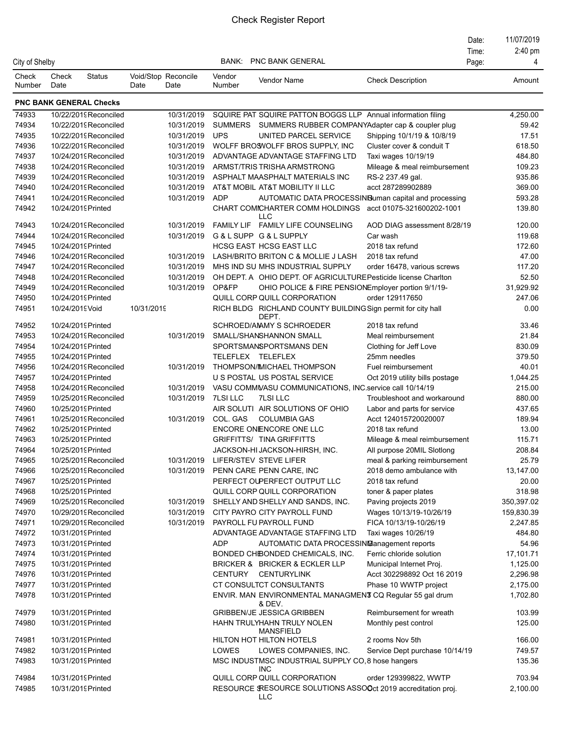|                 |                 |                                |            |                             |                   |                                                                             |                                | Date: | 11/07/2019        |
|-----------------|-----------------|--------------------------------|------------|-----------------------------|-------------------|-----------------------------------------------------------------------------|--------------------------------|-------|-------------------|
|                 |                 |                                |            |                             |                   |                                                                             |                                | Time: | $2:40 \text{ pm}$ |
| City of Shelby  |                 |                                |            |                             | BANK:             | <b>PNC BANK GENERAL</b>                                                     |                                | Page: | 4                 |
| Check<br>Number | Check<br>Date   | <b>Status</b>                  | Date       | Void/Stop Reconcile<br>Date | Vendor<br>Number  | Vendor Name                                                                 | <b>Check Description</b>       |       | Amount            |
|                 |                 | <b>PNC BANK GENERAL Checks</b> |            |                             |                   |                                                                             |                                |       |                   |
| 74933           |                 | 10/22/2019 Reconciled          |            | 10/31/2019                  |                   | SQUIRE PAT SQUIRE PATTON BOGGS LLP Annual information filing                |                                |       | 4,250.00          |
| 74934           |                 | 10/22/2019 Reconciled          |            | 10/31/2019                  |                   | SUMMERS SUMMERS RUBBER COMPANYAdapter cap & coupler plug                    |                                |       | 59.42             |
| 74935           |                 | 10/22/2019Reconciled           |            | 10/31/2019                  | <b>UPS</b>        | UNITED PARCEL SERVICE                                                       | Shipping 10/1/19 & 10/8/19     |       | 17.51             |
| 74936           |                 | 10/22/2019 Reconciled          |            | 10/31/2019                  |                   | WOLFF BROSWOLFF BROS SUPPLY, INC                                            | Cluster cover & conduit T      |       | 618.50            |
| 74937           |                 | 10/24/2019Reconciled           |            | 10/31/2019                  |                   | ADVANTAGE ADVANTAGE STAFFING LTD                                            | Taxi wages 10/19/19            |       | 484.80            |
| 74938           |                 | 10/24/2019 Reconciled          |            | 10/31/2019                  |                   | ARMST/TRIS TRISHA ARMSTRONG                                                 | Mileage & meal reimbursement   |       | 109.23            |
| 74939           |                 | 10/24/2019 Reconciled          |            | 10/31/2019                  |                   | ASPHALT MAASPHALT MATERIALS INC                                             | RS-2 237.49 gal.               |       | 935.86            |
| 74940           |                 | 10/24/2019Reconciled           |            | 10/31/2019                  |                   | AT&T MOBIL AT&T MOBILITY II LLC                                             | acct 287289902889              |       | 369.00            |
| 74941           |                 | 10/24/2019 Reconciled          |            | 10/31/2019                  | <b>ADP</b>        | AUTOMATIC DATA PROCESSING uman capital and processing                       |                                |       | 593.28            |
| 74942           |                 | 10/24/2019 Printed             |            |                             |                   | CHART COMICHARTER COMM HOLDINGS acct 01075-321600202-1001<br><b>LLC</b>     |                                |       | 139.80            |
| 74943           |                 | 10/24/2019Reconciled           |            | 10/31/2019                  |                   | FAMILY LIF FAMILY LIFE COUNSELING                                           | AOD DIAG assessment 8/28/19    |       | 120.00            |
| 74944           |                 | 10/24/2019 Reconciled          |            | 10/31/2019                  |                   | G & L SUPP G & L SUPPLY                                                     | Car wash                       |       | 119.68            |
| 74945           |                 | 10/24/2019 Printed             |            |                             |                   | <b>HCSG EAST HCSG EAST LLC</b>                                              | 2018 tax refund                |       | 172.60            |
| 74946           |                 | 10/24/2019Reconciled           |            | 10/31/2019                  |                   | LASH/BRITO BRITON C & MOLLIE J LASH                                         | 2018 tax refund                |       | 47.00             |
| 74947           |                 | 10/24/2019Reconciled           |            | 10/31/2019                  |                   | MHS IND SU MHS INDUSTRIAL SUPPLY                                            | order 16478, various screws    |       | 117.20            |
| 74948           |                 | 10/24/2019Reconciled           |            | 10/31/2019                  |                   | OH DEPT. A OHIO DEPT. OF AGRICULTURE Pesticide license Charlton             |                                |       | 52.50             |
| 74949           |                 | 10/24/2019Reconciled           |            | 10/31/2019                  | OP&FP             | OHIO POLICE & FIRE PENSIONEmployer portion 9/1/19-                          |                                |       | 31,929.92         |
| 74950           |                 | 10/24/2019 Printed             |            |                             |                   | QUILL CORP QUILL CORPORATION                                                | order 129117650                |       | 247.06            |
| 74951           | 10/24/2019 Void |                                | 10/31/2019 |                             |                   | RICH BLDG RICHLAND COUNTY BUILDING Sign permit for city hall<br>DEPT.       |                                |       | 0.00              |
| 74952           |                 | 10/24/2019 Printed             |            |                             |                   | SCHROED/AMMY S SCHROEDER                                                    | 2018 tax refund                |       | 33.46             |
| 74953           |                 | 10/24/2019Reconciled           |            | 10/31/2019                  |                   | SMALL/SHANSHANNON SMALL                                                     | Meal reimbursement             |       | 21.84             |
| 74954           |                 | 10/24/2019 Printed             |            |                             |                   | SPORTSMANSPORTSMANS DEN                                                     | Clothing for Jeff Love         |       | 830.09            |
| 74955           |                 | 10/24/2019 Printed             |            |                             | TELEFLEX TELEFLEX |                                                                             | 25mm needles                   |       | 379.50            |
| 74956           |                 | 10/24/2019Reconciled           |            | 10/31/2019                  |                   | THOMPSON/IMICHAEL THOMPSON                                                  | Fuel reimbursement             |       | 40.01             |
| 74957           |                 | 10/24/2019 Printed             |            |                             |                   | U S POSTAL US POSTAL SERVICE                                                | Oct 2019 utility bills postage |       | 1,044.25          |
| 74958           |                 | 10/24/2019Reconciled           |            | 10/31/2019                  |                   | VASU COMMUASU COMMUNICATIONS, INC.service call 10/14/19                     |                                |       | 215.00            |
| 74959           |                 | 10/25/2019Reconciled           |            | 10/31/2019                  | 7LSI LLC          | <b>7LSI LLC</b>                                                             | Troubleshoot and workaround    |       | 880.00            |
| 74960           |                 | 10/25/2019 Printed             |            |                             |                   | AIR SOLUTI AIR SOLUTIONS OF OHIO                                            | Labor and parts for service    |       | 437.65            |
| 74961           |                 | 10/25/2019Reconciled           |            | 10/31/2019                  | COL. GAS          | <b>COLUMBIA GAS</b>                                                         | Acct 124015720020007           |       | 189.94            |
| 74962           |                 | 10/25/2019 Printed             |            |                             |                   | ENCORE ONENCORE ONE LLC                                                     | 2018 tax refund                |       | 13.00             |
| 74963           |                 | 10/25/2019 Printed             |            |                             |                   | <b>GRIFFITTS/ TINA GRIFFITTS</b>                                            | Mileage & meal reimbursement   |       | 115.71            |
| 74964           |                 | 10/25/2019Printed              |            |                             |                   | JACKSON-HI JACKSON-HIRSH, INC.                                              | All purpose 20MIL Slotlong     |       | 208.84            |
| 74965           |                 | 10/25/2019Reconciled           |            | 10/31/2019                  |                   | LIFER/STEV STEVE LIFER                                                      | meal & parking reimbursement   |       | 25.79             |
| 74966           |                 | 10/25/2019Reconciled           |            | 10/31/2019                  |                   | PENN CARE PENN CARE, INC                                                    | 2018 demo ambulance with       |       | 13,147.00         |
| 74967           |                 | 10/25/2019 Printed             |            |                             |                   | PERFECT OUPERFECT OUTPUT LLC                                                | 2018 tax refund                |       | 20.00             |
| 74968           |                 | 10/25/2019 Printed             |            |                             |                   | QUILL CORP QUILL CORPORATION                                                | toner & paper plates           |       | 318.98            |
| 74969           |                 | 10/25/2019Reconciled           |            | 10/31/2019                  |                   | SHELLY AND SHELLY AND SANDS, INC.                                           | Paving projects 2019           |       | 350,397.02        |
| 74970           |                 | 10/29/2019Reconciled           |            | 10/31/2019                  |                   | CITY PAYRO CITY PAYROLL FUND                                                | Wages 10/13/19-10/26/19        |       | 159,830.39        |
| 74971           |                 | 10/29/2019Reconciled           |            | 10/31/2019                  |                   | PAYROLL FU PAYROLL FUND                                                     | FICA 10/13/19-10/26/19         |       | 2,247.85          |
| 74972           |                 | 10/31/2019 Printed             |            |                             |                   | ADVANTAGE ADVANTAGE STAFFING LTD                                            | Taxi wages 10/26/19            |       | 484.80            |
| 74973           |                 | 10/31/2019 Printed             |            |                             | <b>ADP</b>        | AUTOMATIC DATA PROCESSING anagement reports                                 |                                |       | 54.96             |
| 74974           |                 | 10/31/2019 Printed             |            |                             |                   | BONDED CHIBONDED CHEMICALS, INC.                                            | Ferric chloride solution       |       | 17,101.71         |
| 74975           |                 | 10/31/2019 Printed             |            |                             |                   | BRICKER & BRICKER & ECKLER LLP                                              | Municipal Internet Proj.       |       | 1,125.00          |
| 74976           |                 | 10/31/2019 Printed             |            |                             |                   | CENTURY CENTURYLINK                                                         | Acct 302298892 Oct 16 2019     |       | 2,296.98          |
| 74977           |                 | 10/31/2019 Printed             |            |                             |                   | CT CONSULTCT CONSULTANTS                                                    | Phase 10 WWTP project          |       | 2,175.00          |
| 74978           |                 | 10/31/2019 Printed             |            |                             |                   | ENVIR. MAN ENVIRONMENTAL MANAGMENT CQ Regular 55 gal drum<br>& DEV.         |                                |       | 1,702.80          |
| 74979           |                 | 10/31/2019 Printed             |            |                             |                   | <b>GRIBBEN/JE JESSICA GRIBBEN</b>                                           | Reimbursement for wreath       |       | 103.99            |
| 74980           |                 | 10/31/2019 Printed             |            |                             |                   | HAHN TRULYHAHN TRULY NOLEN<br><b>MANSFIELD</b>                              | Monthly pest control           |       | 125.00            |
| 74981           |                 | 10/31/2019 Printed             |            |                             |                   | HILTON HOT HILTON HOTELS                                                    | 2 rooms Nov 5th                |       | 166.00            |
| 74982           |                 | 10/31/2019 Printed             |            |                             | LOWES             | LOWES COMPANIES, INC.                                                       | Service Dept purchase 10/14/19 |       | 749.57            |
| 74983           |                 | 10/31/2019 Printed             |            |                             |                   | MSC INDUSTMSC INDUSTRIAL SUPPLY CO, 8 hose hangers<br><b>INC</b>            |                                |       | 135.36            |
| 74984           |                 | 10/31/2019 Printed             |            |                             |                   | QUILL CORP QUILL CORPORATION                                                | order 129399822, WWTP          |       | 703.94            |
| 74985           |                 | 10/31/2019 Printed             |            |                             |                   | RESOURCE SRESOURCE SOLUTIONS ASSOOct 2019 accreditation proj.<br><b>LLC</b> |                                |       | 2,100.00          |